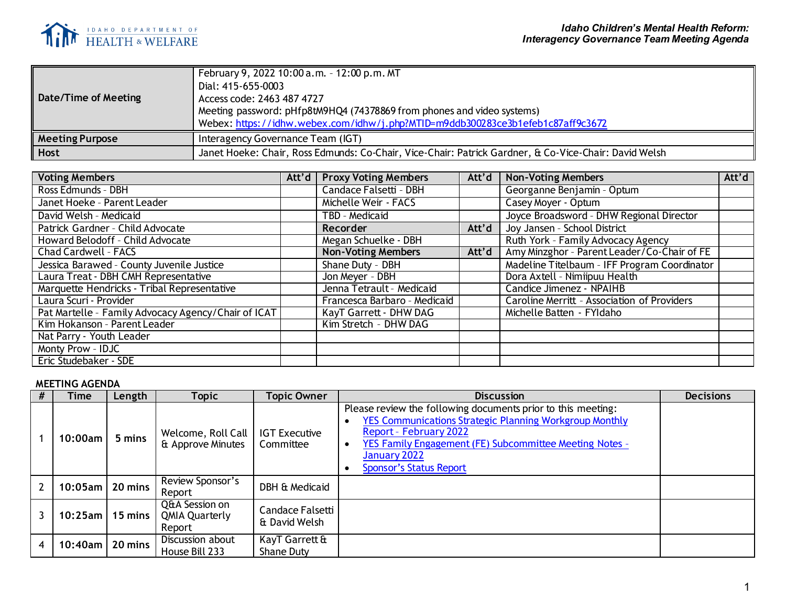

| Date/Time of Meeting   | February 9, 2022 10:00 a.m. - 12:00 p.m. MT<br>Dial: 415-655-0003<br>Access code: 2463 487 4727<br>Meeting password: pHfp8tM9HQ4 (74378869 from phones and video systems)<br>Webex: https://idhw.webex.com/idhw/j.php?MTID=m9ddb300283ce3b1efeb1c87aff9c3672 |
|------------------------|--------------------------------------------------------------------------------------------------------------------------------------------------------------------------------------------------------------------------------------------------------------|
| <b>Meeting Purpose</b> | Interagency Governance Team (IGT)                                                                                                                                                                                                                            |
| <b>Host</b>            | Janet Hoeke: Chair, Ross Edmunds: Co-Chair, Vice-Chair: Patrick Gardner, & Co-Vice-Chair: David Welsh                                                                                                                                                        |

| <b>Voting Members</b>                               |  | Att'd   Proxy Voting Members | Att'd | <b>Non-Voting Members</b>                    | Att'd |
|-----------------------------------------------------|--|------------------------------|-------|----------------------------------------------|-------|
| Ross Edmunds - DBH                                  |  | Candace Falsetti - DBH       |       | Georganne Benjamin - Optum                   |       |
| Janet Hoeke - Parent Leader                         |  | Michelle Weir - FACS         |       | Casey Moyer - Optum                          |       |
| David Welsh - Medicaid                              |  | TBD - Medicaid               |       | Joyce Broadsword - DHW Regional Director     |       |
| Patrick Gardner - Child Advocate                    |  | <b>Recorder</b>              | Att'd | Joy Jansen - School District                 |       |
| Howard Belodoff - Child Advocate                    |  | Megan Schuelke - DBH         |       | Ruth York - Family Advocacy Agency           |       |
| Chad Cardwell - FACS                                |  | <b>Non-Voting Members</b>    | Att'd | Amy Minzghor - Parent Leader/Co-Chair of FE  |       |
| Jessica Barawed - County Juvenile Justice           |  | Shane Duty - DBH             |       | Madeline Titelbaum - IFF Program Coordinator |       |
| Laura Treat - DBH CMH Representative                |  | Jon Meyer - DBH              |       | Dora Axtell - Nimiipuu Health                |       |
| Marquette Hendricks - Tribal Representative         |  | Jenna Tetrault - Medicaid    |       | Candice Jimenez - NPAIHB                     |       |
| Laura Scuri - Provider                              |  | Francesca Barbaro - Medicaid |       | Caroline Merritt - Association of Providers  |       |
| Pat Martelle - Family Advocacy Agency/Chair of ICAT |  | KayT Garrett - DHW DAG       |       | Michelle Batten - FYIdaho                    |       |
| Kim Hokanson - Parent Leader                        |  | Kim Stretch - DHW DAG        |       |                                              |       |
| Nat Parry - Youth Leader                            |  |                              |       |                                              |       |
| Monty Prow - IDJC                                   |  |                              |       |                                              |       |
| Eric Studebaker - SDE                               |  |                              |       |                                              |       |

## **MEETING AGENDA**

| Time                       | Length    | <b>Topic</b>                                      | <b>Topic Owner</b>                | <b>Discussion</b>                                                                                                                                                                                                                                                                         | <b>Decisions</b> |
|----------------------------|-----------|---------------------------------------------------|-----------------------------------|-------------------------------------------------------------------------------------------------------------------------------------------------------------------------------------------------------------------------------------------------------------------------------------------|------------------|
| 10:00am                    | 5 mins    | Welcome, Roll Call<br>& Approve Minutes           | <b>IGT Executive</b><br>Committee | Please review the following documents prior to this meeting:<br><b>YES Communications Strategic Planning Workgroup Monthly</b><br><b>Report - February 2022</b><br>YES Family Engagement (FE) Subcommittee Meeting Notes -<br>$\bullet$<br>January 2022<br><b>Sponsor's Status Report</b> |                  |
| $10:05$ am $\vert$ 20 mins |           | Review Sponsor's<br>Report                        | DBH & Medicaid                    |                                                                                                                                                                                                                                                                                           |                  |
| $10:25$ am l               | $15$ mins | Q&A Session on<br><b>QMIA Quarterly</b><br>Report | Candace Falsetti<br>& David Welsh |                                                                                                                                                                                                                                                                                           |                  |
| 10:40am                    | 20 mins   | Discussion about<br>House Bill 233                | KayT Garrett &<br>Shane Duty      |                                                                                                                                                                                                                                                                                           |                  |